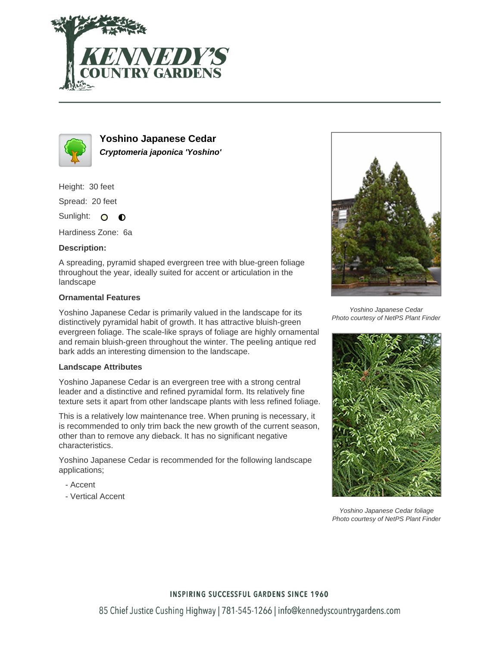



**Yoshino Japanese Cedar Cryptomeria japonica 'Yoshino'**

Height: 30 feet

Spread: 20 feet

Sunlight: O  $\bullet$ 

Hardiness Zone: 6a

### **Description:**

A spreading, pyramid shaped evergreen tree with blue-green foliage throughout the year, ideally suited for accent or articulation in the landscape

### **Ornamental Features**

Yoshino Japanese Cedar is primarily valued in the landscape for its distinctively pyramidal habit of growth. It has attractive bluish-green evergreen foliage. The scale-like sprays of foliage are highly ornamental and remain bluish-green throughout the winter. The peeling antique red bark adds an interesting dimension to the landscape.

### **Landscape Attributes**

Yoshino Japanese Cedar is an evergreen tree with a strong central leader and a distinctive and refined pyramidal form. Its relatively fine texture sets it apart from other landscape plants with less refined foliage.

This is a relatively low maintenance tree. When pruning is necessary, it is recommended to only trim back the new growth of the current season, other than to remove any dieback. It has no significant negative characteristics.

Yoshino Japanese Cedar is recommended for the following landscape applications;

- Accent
- Vertical Accent



Yoshino Japanese Cedar Photo courtesy of NetPS Plant Finder



Yoshino Japanese Cedar foliage Photo courtesy of NetPS Plant Finder

## **INSPIRING SUCCESSFUL GARDENS SINCE 1960**